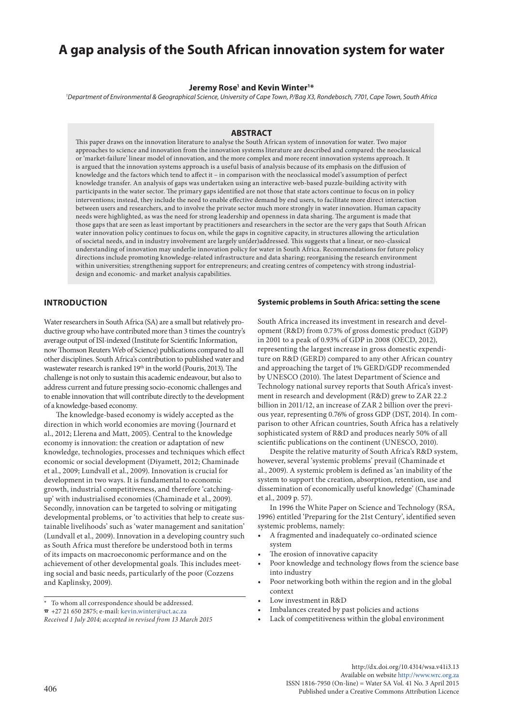# **A gap analysis of the South African innovation system for water**

#### **Jeremy Rose1 and Kevin Winter1 \***

*1 Department of Environmental & Geographical Science, University of Cape Town, P/Bag X3, Rondebosch, 7701, Cape Town, South Africa*

#### **ABSTRACT**

This paper draws on the innovation literature to analyse the South African system of innovation for water. Two major approaches to science and innovation from the innovation systems literature are described and compared: the neoclassical or 'market-failure' linear model of innovation, and the more complex and more recent innovation systems approach. It is argued that the innovation systems approach is a useful basis of analysis because of its emphasis on the diffusion of knowledge and the factors which tend to affect it – in comparison with the neoclassical model's assumption of perfect knowledge transfer. An analysis of gaps was undertaken using an interactive web-based puzzle-building activity with participants in the water sector. The primary gaps identified are not those that state actors continue to focus on in policy interventions; instead, they include the need to enable effective demand by end users, to facilitate more direct interaction between users and researchers, and to involve the private sector much more strongly in water innovation. Human capacity needs were highlighted, as was the need for strong leadership and openness in data sharing. The argument is made that those gaps that are seen as least important by practitioners and researchers in the sector are the very gaps that South African water innovation policy continues to focus on, while the gaps in cognitive capacity, in structures allowing the articulation of societal needs, and in industry involvement are largely un(der)addressed. This suggests that a linear, or neo-classical understanding of innovation may underlie innovation policy for water in South Africa. Recommendations for future policy directions include promoting knowledge-related infrastructure and data sharing; reorganising the research environment within universities; strengthening support for entrepreneurs; and creating centres of competency with strong industrialdesign and economic- and market analysis capabilities.

# **INTRODUCTION**

Water researchers in South Africa (SA) are a small but relatively productive group who have contributed more than 3 times the country's average output of ISI-indexed (Institute for Scientific Information, now Thomson Reuters Web of Science) publications compared to all other disciplines. South Africa's contribution to published water and wastewater research is ranked 19<sup>th</sup> in the world (Pouris, 2013). The challenge is not only to sustain this academic endeavour, but also to address current and future pressing socio-economic challenges and to enable innovation that will contribute directly to the development of a knowledge-based economy.

The knowledge-based economy is widely accepted as the direction in which world economies are moving (Journard et al., 2012; Llerena and Matt, 2005). Central to the knowledge economy is innovation: the creation or adaptation of new knowledge, technologies, processes and techniques which effect economic or social development (Diyamett, 2012; Chaminade et al., 2009; Lundvall et al., 2009). Innovation is crucial for development in two ways. It is fundamental to economic growth, industrial competitiveness, and therefore 'catchingup' with industrialised economies (Chaminade et al., 2009). Secondly, innovation can be targeted to solving or mitigating developmental problems, or 'to activities that help to create sustainable livelihoods' such as 'water management and sanitation' (Lundvall et al., 2009). Innovation in a developing country such as South Africa must therefore be understood both in terms of its impacts on macroeconomic performance and on the achievement of other developmental goals. This includes meeting social and basic needs, particularly of the poor (Cozzens and Kaplinsky, 2009).

To whom all correspondence should be addressed.

#### **Systemic problems in South Africa: setting the scene**

South Africa increased its investment in research and development (R&D) from 0.73% of gross domestic product (GDP) in 2001 to a peak of 0.93% of GDP in 2008 (OECD, 2012), representing the largest increase in gross domestic expenditure on R&D (GERD) compared to any other African country and approaching the target of 1% GERD/GDP recommended by UNESCO (2010). The latest Department of Science and Technology national survey reports that South Africa's investment in research and development (R&D) grew to ZAR 22.2 billion in 2011/12, an increase of ZAR 2 billion over the previous year, representing 0.76% of gross GDP (DST, 2014). In comparison to other African countries, South Africa has a relatively sophisticated system of R&D and produces nearly 50% of all scientific publications on the continent (UNESCO, 2010).

Despite the relative maturity of South Africa's R&D system, however, several 'systemic problems' prevail (Chaminade et al., 2009). A systemic problem is defined as 'an inability of the system to support the creation, absorption, retention, use and dissemination of economically useful knowledge' (Chaminade et al., 2009 p. 57).

In 1996 the White Paper on Science and Technology (RSA, 1996) entitled 'Preparing for the 21st Century', identified seven systemic problems, namely:

- A fragmented and inadequately co-ordinated science system
- The erosion of innovative capacity
- Poor knowledge and technology flows from the science base into industry
- Poor networking both within the region and in the global context
- Low investment in R&D
- Imbalances created by past policies and actions
- • Lack of competitiveness within the global environment

<sup>☎</sup> +27 21 650 2875; e-mail: kevin.winter@uct.ac.za

*Received 1 July 2014; accepted in revised from 13 March 2015*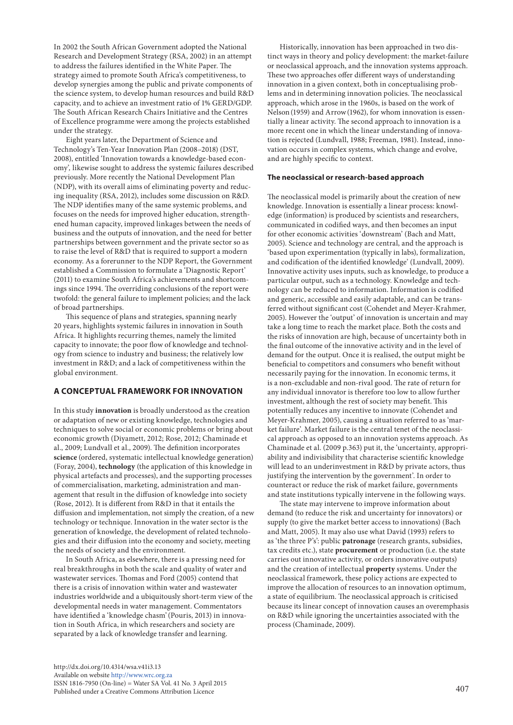In 2002 the South African Government adopted the National Research and Development Strategy (RSA, 2002) in an attempt to address the failures identified in the White Paper. The strategy aimed to promote South Africa's competitiveness, to develop synergies among the public and private components of the science system, to develop human resources and build R&D capacity, and to achieve an investment ratio of 1% GERD/GDP. The South African Research Chairs Initiative and the Centres of Excellence programme were among the projects established under the strategy.

Eight years later, the Department of Science and Technology's Ten-Year Innovation Plan (2008–2018) (DST, 2008), entitled 'Innovation towards a knowledge-based economy'*,* likewise sought to address the systemic failures described previously. More recently the National Development Plan (NDP), with its overall aims of eliminating poverty and reducing inequality (RSA, 2012), includes some discussion on R&D. The NDP identifies many of the same systemic problems, and focuses on the needs for improved higher education, strengthened human capacity, improved linkages between the needs of business and the outputs of innovation, and the need for better partnerships between government and the private sector so as to raise the level of R&D that is required to support a modern economy. As a forerunner to the NDP Report, the Government established a Commission to formulate a 'Diagnostic Report' (2011) to examine South Africa's achievements and shortcomings since 1994. The overriding conclusions of the report were twofold: the general failure to implement policies; and the lack of broad partnerships.

This sequence of plans and strategies, spanning nearly 20 years, highlights systemic failures in innovation in South Africa. It highlights recurring themes, namely the limited capacity to innovate; the poor flow of knowledge and technology from science to industry and business; the relatively low investment in R&D; and a lack of competitiveness within the global environment.

# **A conceptual framework for innovation**

In this study **innovation** is broadly understood as the creation or adaptation of new or existing knowledge, technologies and techniques to solve social or economic problems or bring about economic growth (Diyamett, 2012; Rose, 2012; Chaminade et al., 2009; Lundvall et al., 2009). The definition incorporates **science** (ordered, systematic intellectual knowledge generation) (Foray, 2004), **technology** (the application of this knowledge in physical artefacts and processes), and the supporting processes of commercialisation, marketing, administration and management that result in the diffusion of knowledge into society (Rose, 2012). It is different from R&D in that it entails the diffusion and implementation, not simply the creation, of a new technology or technique. Innovation in the water sector is the generation of knowledge, the development of related technologies and their diffusion into the economy and society, meeting the needs of society and the environment.

In South Africa, as elsewhere, there is a pressing need for real breakthroughs in both the scale and quality of water and wastewater services. Thomas and Ford (2005) contend that there is a crisis of innovation within water and wastewater industries worldwide and a ubiquitously short-term view of the developmental needs in water management. Commentators have identified a 'knowledge chasm'(Pouris, 2013) in innovation in South Africa, in which researchers and society are separated by a lack of knowledge transfer and learning.

Historically, innovation has been approached in two distinct ways in theory and policy development: the market-failure or neoclassical approach, and the innovation systems approach. These two approaches offer different ways of understanding innovation in a given context, both in conceptualising problems and in determining innovation policies. The neoclassical approach, which arose in the 1960s, is based on the work of Nelson(1959) and Arrow(1962), for whom innovation is essentially a linear activity. The second approach to innovation is a more recent one in which the linear understanding of innovation is rejected (Lundvall, 1988; Freeman, 1981). Instead, innovation occurs in complex systems, which change and evolve, and are highly specific to context.

#### **The neoclassical or research-based approach**

The neoclassical model is primarily about the creation of new knowledge. Innovation is essentially a linear process: knowledge (information) is produced by scientists and researchers, communicated in codified ways, and then becomes an input for other economic activities 'downstream' (Bach and Matt, 2005). Science and technology are central, and the approach is 'based upon experimentation (typically in labs), formalization, and codification of the identified knowledge' (Lundvall, 2009). Innovative activity uses inputs, such as knowledge, to produce a particular output, such as a technology. Knowledge and technology can be reduced to information. Information is codified and generic, accessible and easily adaptable, and can be transferred without significant cost (Cohendet and Meyer-Krahmer, 2005). However the 'output' of innovation is uncertain and may take a long time to reach the market place. Both the costs and the risks of innovation are high, because of uncertainty both in the final outcome of the innovative activity and in the level of demand for the output. Once it is realised, the output might be beneficial to competitors and consumers who benefit without necessarily paying for the innovation. In economic terms, it is a non-excludable and non-rival good. The rate of return for any individual innovator is therefore too low to allow further investment, although the rest of society may benefit. This potentially reduces any incentive to innovate (Cohendet and Meyer-Krahmer, 2005), causing a situation referred to as 'market failure'. Market failure is the central tenet of the neoclassical approach as opposed to an innovation systems approach. As Chaminade et al. (2009 p.363) put it, the 'uncertainty, appropriability and indivisibility that characterise scientific knowledge will lead to an underinvestment in R&D by private actors, thus justifying the intervention by the government'. In order to counteract or reduce the risk of market failure, governments and state institutions typically intervene in the following ways.

The state may intervene to improve information about demand (to reduce the risk and uncertainty for innovators) or supply (to give the market better access to innovations) (Bach and Matt, 2005). It may also use what David (1993) refers to as 'the three P's': public **patronage** (research grants, subsidies, tax credits etc.), state **procurement** or production (i.e. the state carries out innovative activity, or orders innovative outputs) and the creation of intellectual **property** systems. Under the neoclassical framework, these policy actions are expected to improve the allocation of resources to an innovation optimum, a state of equilibrium. The neoclassical approach is criticised because its linear concept of innovation causes an overemphasis on R&D while ignoring the uncertainties associated with the process (Chaminade, 2009).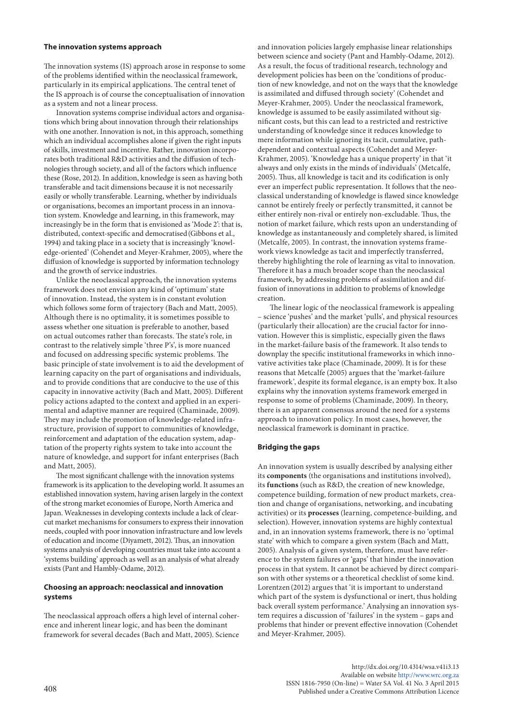#### **The innovation systems approach**

The innovation systems (IS) approach arose in response to some of the problems identified within the neoclassical framework, particularly in its empirical applications. The central tenet of the IS approach is of course the conceptualisation of innovation as a system and not a linear process.

Innovation systems comprise individual actors and organisations which bring about innovation through their relationships with one another. Innovation is not, in this approach, something which an individual accomplishes alone if given the right inputs of skills, investment and incentive. Rather, innovation incorporates both traditional R&D activities and the diffusion of technologies through society, and all of the factors which influence these (Rose, 2012). In addition, knowledge is seen as having both transferable and tacit dimensions because it is not necessarily easily or wholly transferable. Learning, whether by individuals or organisations, becomes an important process in an innovation system. Knowledge and learning, in this framework, may increasingly be in the form that is envisioned as 'Mode 2': that is, distributed, context-specific and democratised(Gibbons et al., 1994) and taking place in a society that is increasingly 'knowledge-oriented' (Cohendet and Meyer-Krahmer, 2005), where the diffusion of knowledge is supported by information technology and the growth of service industries.

Unlike the neoclassical approach, the innovation systems framework does not envision any kind of 'optimum' state of innovation. Instead, the system is in constant evolution which follows some form of trajectory (Bach and Matt, 2005). Although there is no optimality, it is sometimes possible to assess whether one situation is preferable to another, based on actual outcomes rather than forecasts. The state's role, in contrast to the relatively simple 'three P's', is more nuanced and focused on addressing specific systemic problems. The basic principle of state involvement is to aid the development of learning capacity on the part of organisations and individuals, and to provide conditions that are conducive to the use of this capacity in innovative activity (Bach and Matt, 2005). Different policy actions adapted to the context and applied in an experimental and adaptive manner are required (Chaminade, 2009). They may include the promotion of knowledge-related infrastructure, provision of support to communities of knowledge, reinforcement and adaptation of the education system, adaptation of the property rights system to take into account the nature of knowledge, and support for infant enterprises (Bach and Matt, 2005).

The most significant challenge with the innovation systems framework is its application to the developing world. It assumes an established innovation system, having arisen largely in the context of the strong market economies of Europe, North America and Japan. Weaknesses in developing contexts include a lack of clearcut market mechanisms for consumers to express their innovation needs, coupled with poor innovation infrastructure and low levels of education and income (Diyamett, 2012). Thus, an innovation systems analysis of developing countries must take into account a 'systems building' approach as well as an analysis of what already exists (Pant and Hambly-Odame, 2012).

#### **Choosing an approach: neoclassical and innovation systems**

The neoclassical approach offers a high level of internal coherence and inherent linear logic, and has been the dominant framework for several decades (Bach and Matt, 2005). Science and innovation policies largely emphasise linear relationships between science and society (Pant and Hambly-Odame, 2012). As a result, the focus of traditional research, technology and development policies has been on the 'conditions of production of new knowledge, and not on the ways that the knowledge is assimilated and diffused through society' (Cohendet and Meyer-Krahmer, 2005). Under the neoclassical framework, knowledge is assumed to be easily assimilated without significant costs, but this can lead to a restricted and restrictive understanding of knowledge since it reduces knowledge to mere information while ignoring its tacit, cumulative, pathdependent and contextual aspects (Cohendet and Meyer-Krahmer, 2005). 'Knowledge has a unique property' in that 'it always and only exists in the minds of individuals' (Metcalfe, 2005). Thus, all knowledge is tacit and its codification is only ever an imperfect public representation. It follows that the neoclassical understanding of knowledge is flawed since knowledge cannot be entirely freely or perfectly transmitted, it cannot be either entirely non-rival or entirely non-excludable. Thus, the notion of market failure, which rests upon an understanding of knowledge as instantaneously and completely shared, is limited (Metcalfe, 2005). In contrast, the innovation systems framework views knowledge as tacit and imperfectly transferred, thereby highlighting the role of learning as vital to innovation. Therefore it has a much broader scope than the neoclassical framework, by addressing problems of assimilation and diffusion of innovations in addition to problems of knowledge creation.

The linear logic of the neoclassical framework is appealing – science 'pushes' and the market 'pulls', and physical resources (particularly their allocation) are the crucial factor for innovation. However this is simplistic, especially given the flaws in the market-failure basis of the framework. It also tends to downplay the specific institutional frameworks in which innovative activities take place (Chaminade, 2009). It is for these reasons that Metcalfe (2005) argues that the 'market-failure framework', despite its formal elegance, is an empty box. It also explains why the innovation systems framework emerged in response to some of problems (Chaminade, 2009). In theory, there is an apparent consensus around the need for a systems approach to innovation policy. In most cases, however, the neoclassical framework is dominant in practice.

#### **Bridging the gaps**

An innovation system is usually described by analysing either its **components** (the organisations and institutions involved), its **functions** (such as R&D, the creation of new knowledge, competence building, formation of new product markets, creation and change of organisations, networking, and incubating activities) or its **processes** (learning, competence-building, and selection). However, innovation systems are highly contextual and, in an innovation systems framework, there is no 'optimal state' with which to compare a given system (Bach and Matt, 2005). Analysis of a given system, therefore, must have reference to the system failures or 'gaps' that hinder the innovation process in that system. It cannot be achieved by direct comparison with other systems or a theoretical checklist of some kind. Lorentzen(2012) argues that 'it is important to understand which part of the system is dysfunctional or inert, thus holding back overall system performance.' Analysing an innovation system requires a discussion of 'failures' in the system – gaps and problems that hinder or prevent effective innovation (Cohendet and Meyer-Krahmer, 2005).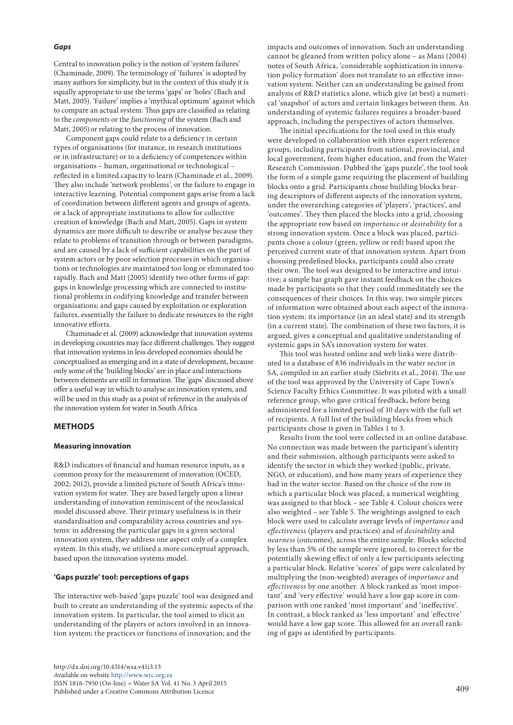#### *Gaps*

Central to innovation policy is the notion of 'system failures' (Chaminade, 2009). The terminology of 'failures' is adopted by many authors for simplicity, but in the context of this study it is equally appropriate to use the terms 'gaps' or 'holes' (Bach and Matt, 2005). 'Failure' implies a 'mythical optimum' against which to compare an actual system. Thus gaps are classified as relating to the *components* or the *functioning* of the system (Bach and Matt, 2005) or relating to the process of innovation.

Component gaps could relate to a deficiency in certain types of organisations (for instance, in research institutions or in infrastructure) or to a deficiency of competences within organisations – human, organisational or technological – reflected in a limited capacity to learn (Chaminade et al., 2009). They also include 'network problems', or the failure to engage in interactive learning. Potential component gaps arise from a lack of coordination between different agents and groups of agents, or a lack of appropriate institutions to allow for collective creation of knowledge (Bach and Matt, 2005). Gaps in system dynamics are more difficult to describe or analyse because they relate to problems of transition through or between paradigms, and are caused by a lack of sufficient capabilities on the part of system actors or by poor selection processesin which organisations or technologies are maintained too long or eliminated too rapidly. Bach and Matt (2005) identify two other forms of gap: gaps in knowledge processing which are connected to institutional problems in codifying knowledge and transfer between organisations; and gaps caused by exploitation or exploration failures, essentially the failure to dedicate resources to the right innovative efforts.

Chaminade et al. (2009) acknowledge that innovation systems in developing countries may face different challenges. They suggest that innovation systems in less developed economies should be conceptualised as emerging and in a state of development, because only some of the 'building blocks' are in place and interactions between elements are still in formation. The 'gaps' discussed above offer a useful way in which to analyse an innovation system, and will be used in this study as a point of reference in the analysis of the innovation system for water in South Africa.

#### **METHODS**

#### **Measuring innovation**

R&D indicators of financial and human resource inputs, as a common proxy for the measurement of innovation (OCED, 2002; 2012), provide a limited picture of South Africa's innovation system for water. They are based largely upon a linear understanding of innovation reminiscent of the neoclassical model discussed above. Their primary usefulness is in their standardisation and comparability across countries and systems: in addressing the particular gaps in a given sectoral innovation system, they address one aspect only of a complex system. In this study, we utilised a more conceptual approach, based upon the innovation systems model.

#### **'Gaps puzzle' tool: perceptions of gaps**

The interactive web-based 'gaps puzzle' tool was designed and built to create an understanding of the systemic aspects of the innovation system. In particular, the tool aimed to elicit an understanding of the players or actors involved in an innovation system; the practices or functions of innovation; and the

impacts and outcomes of innovation. Such an understanding cannot be gleaned from written policy alone – as Mani (2004) notes of South Africa, 'considerable sophistication in innovation policy formation' does not translate to an effective innovation system. Neither can an understanding be gained from analysis of R&D statistics alone, which give (at best) a numerical 'snapshot' of actors and certain linkages between them. An understanding of systemic failures requires a broader-based approach, including the perspectives of actors themselves.

The initial specifications for the tool used in this study were developed in collaboration with three expert reference groups, including participants from national, provincial, and local government, from higher education, and from the Water Research Commission. Dubbed the 'gaps puzzle', the tool took the form of a simple game requiring the placement of building blocks onto a grid. Participants chose building blocks bearing descriptors of different aspects of the innovation system, under the overarching categories of 'players', 'practices', and 'outcomes'. They then placed the blocks into a grid, choosing the appropriate row based on *importance* or *desirability* for a strong innovation system. Once a block was placed, participants chose a colour (green, yellow or red) based upon the perceived current state of that innovation system. Apart from choosing predefined blocks, participants could also create their own. The tool was designed to be interactive and intuitive; a simple bar graph gave instant feedback on the choices made by participants so that they could immeditately see the consequences of their choices. In this way, two simple pieces of information were obtained about each aspect of the innovation system: its importance (in an ideal state) and its strength (in a current state). The combination of these two factors, it is argued, gives a conceptual and qualitative understanding of systemic gaps in SA's innovation system for water.

This tool was hosted online and web links were distributed to a database of 836 individuals in the water sector in SA, compiled in an earlier study (Siebrits et al., 2014). The use of the tool was approved by the University of Cape Town's Science Faculty Ethics Committee. It was piloted with a small reference group, who gave critical feedback, before being administered for a limited period of 10 days with the full set of recipients. A full list of the building blocks from which participants chose is given in Tables 1 to 3.

Results from the tool were collected in an online database. No connection was made between the participant's identity and their submission, although participants were asked to identify the sector in which they worked (public, private, NGO, or education), and how many years of experience they had in the water sector. Based on the choice of the row in which a particular block was placed, a numerical weighting was assigned to that block – see Table 4. Colour choices were also weighted – see Table 5. The weightings assigned to each block were used to calculate average levels of *importance* and *effectiveness* (players and practices) and of *desirability* and *nearness* (outcomes), across the entire sample. Blocks selected by less than 5% of the sample were ignored, to correct for the potentially skewing effect of only a few participants selecting a particular block. Relative 'scores' of gaps were calculated by multiplying the (non-weighted) averages of *importance* and *effectiveness* by one another. A block ranked as 'most important' and 'very effective' would have a low gap score in comparison with one ranked 'most important' and 'ineffective'. In contrast, a block ranked as 'less important' and 'effective' would have a low gap score. This allowed for an overall ranking of gaps as identified by participants.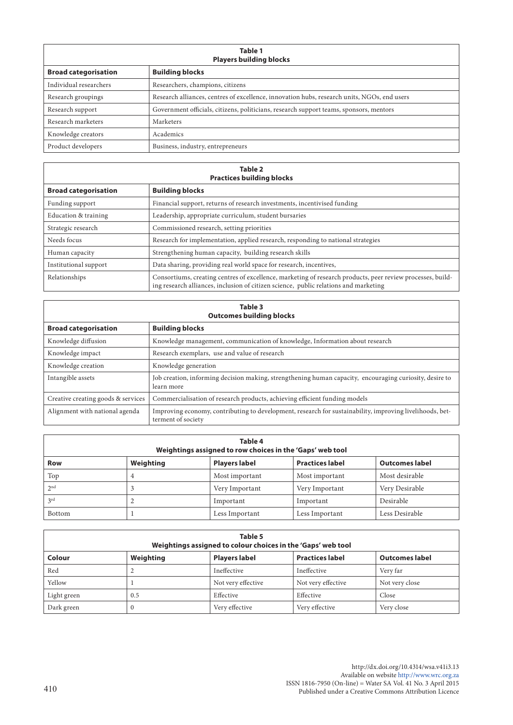| Table 1<br><b>Players building blocks</b> |                                                                                             |  |  |
|-------------------------------------------|---------------------------------------------------------------------------------------------|--|--|
| <b>Broad categorisation</b>               | <b>Building blocks</b>                                                                      |  |  |
| Individual researchers                    | Researchers, champions, citizens                                                            |  |  |
| Research groupings                        | Research alliances, centres of excellence, innovation hubs, research units, NGOs, end users |  |  |
| Research support                          | Government officials, citizens, politicians, research support teams, sponsors, mentors      |  |  |
| Research marketers                        | Marketers                                                                                   |  |  |
| Knowledge creators                        | Academics                                                                                   |  |  |
| Product developers                        | Business, industry, entrepreneurs                                                           |  |  |

| Table 2<br><b>Practices building blocks</b> |                                                                                                                                                                                                    |  |  |
|---------------------------------------------|----------------------------------------------------------------------------------------------------------------------------------------------------------------------------------------------------|--|--|
| <b>Broad categorisation</b>                 | <b>Building blocks</b>                                                                                                                                                                             |  |  |
| Funding support                             | Financial support, returns of research investments, incentivised funding                                                                                                                           |  |  |
| Education & training                        | Leadership, appropriate curriculum, student bursaries                                                                                                                                              |  |  |
| Strategic research                          | Commissioned research, setting priorities                                                                                                                                                          |  |  |
| Needs focus                                 | Research for implementation, applied research, responding to national strategies                                                                                                                   |  |  |
| Human capacity                              | Strengthening human capacity, building research skills                                                                                                                                             |  |  |
| Institutional support                       | Data sharing, providing real world space for research, incentives,                                                                                                                                 |  |  |
| Relationships                               | Consortiums, creating centres of excellence, marketing of research products, peer review processes, build-<br>ing research alliances, inclusion of citizen science, public relations and marketing |  |  |

| Table 3<br><b>Outcomes building blocks</b> |                                                                                                                                |  |  |
|--------------------------------------------|--------------------------------------------------------------------------------------------------------------------------------|--|--|
| <b>Broad categorisation</b>                | <b>Building blocks</b>                                                                                                         |  |  |
| Knowledge diffusion                        | Knowledge management, communication of knowledge, Information about research                                                   |  |  |
| Knowledge impact                           | Research exemplars, use and value of research                                                                                  |  |  |
| Knowledge creation                         | Knowledge generation                                                                                                           |  |  |
| Intangible assets                          | Job creation, informing decision making, strengthening human capacity, encouraging curiosity, desire to<br>learn more          |  |  |
| Creative creating goods & services         | Commercialisation of research products, achieving efficient funding models                                                     |  |  |
| Alignment with national agenda             | Improving economy, contributing to development, research for sustainability, improving livelihoods, bet-<br>terment of society |  |  |

| Table 4<br>Weightings assigned to row choices in the 'Gaps' web tool |           |                      |                        |                       |
|----------------------------------------------------------------------|-----------|----------------------|------------------------|-----------------------|
| <b>Row</b>                                                           | Weighting | <b>Players label</b> | <b>Practices label</b> | <b>Outcomes label</b> |
| Top                                                                  |           | Most important       | Most important         | Most desirable        |
| 2 <sup>nd</sup>                                                      |           | Very Important       | Very Important         | Very Desirable        |
| 3 <sup>rd</sup>                                                      |           | Important            | Important              | Desirable             |
| <b>Bottom</b>                                                        |           | Less Important       | Less Important         | Less Desirable        |

| Table 5<br>Weightings assigned to colour choices in the 'Gaps' web tool |           |                      |                        |                       |
|-------------------------------------------------------------------------|-----------|----------------------|------------------------|-----------------------|
| Colour                                                                  | Weighting | <b>Players label</b> | <b>Practices label</b> | <b>Outcomes label</b> |
| Red                                                                     |           | Ineffective          | Ineffective            | Very far              |
| Yellow                                                                  |           | Not very effective   | Not very effective     | Not very close        |
| Light green                                                             | 0.5       | Effective            | Effective              | Close                 |
| Dark green                                                              |           | Very effective       | Very effective         | Very close            |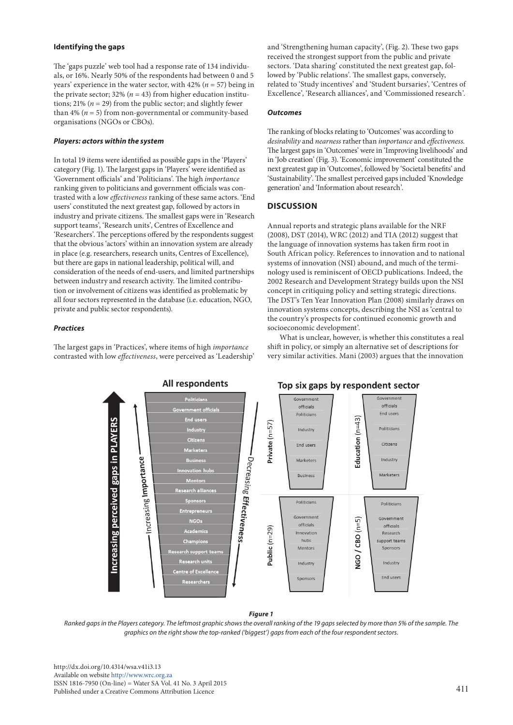#### **Identifying the gaps**

The 'gaps puzzle' web tool had a response rate of 134 individuals, or 16%. Nearly 50% of the respondents had between 0 and 5 vears' experience in the water sector, with  $42\%$  ( $n = 57$ ) being in the private sector;  $32\%$  ( $n = 43$ ) from higher education institutions; 21% (*n* = 29) from the public sector; and slightly fewer than  $4\%$  ( $n = 5$ ) from non-governmental or community-based organisations (NGOs or CBOs).

# *Players: actors within the system*

In total 19 items were identified as possible gaps in the 'Players' category (Fig. 1). The largest gaps in 'Players' were identified as 'Government officials' and 'Politicians'. The high *importance* ranking given to politicians and government officials was contrasted with a low *effectiveness* ranking of these same actors. 'End users' constituted the next greatest gap, followed by actors in industry and private citizens. The smallest gaps were in 'Research support teams', 'Research units', Centres of Excellence and 'Researchers'. The perceptions offered by the respondents suggest that the obvious 'actors' within an innovation system are already in place (e.g. researchers, research units, Centres of Excellence), but there are gaps in national leadership, political will, and consideration of the needs of end-users, and limited partnerships between industry and research activity. The limited contribution or involvement of citizens was identified as problematic by all four sectors represented in the database (i.e. education, NGO, private and public sector respondents).

# *Practices*

The largest gaps in 'Practices', where items of high *importance* contrasted with low *effectiveness*, were perceived as 'Leadership' and 'Strengthening human capacity', (Fig. 2). These two gaps received the strongest support from the public and private sectors. 'Data sharing' constituted the next greatest gap, followed by 'Public relations'. The smallest gaps, conversely, related to 'Study incentives' and 'Student bursaries', 'Centres of Excellence', 'Research alliances', and 'Commissioned research'.

### *Outcomes*

The ranking of blocks relating to 'Outcomes' was according to *desirability* and *nearness* rather than *importance* and *effectiveness*. The largest gaps in 'Outcomes' were in 'Improving livelihoods' and in 'Job creation' (Fig. 3). 'Economic improvement' constituted the next greatest gap in 'Outcomes', followed by 'Societal benefits' and 'Sustainability'. The smallest perceived gaps included 'Knowledge generation' and 'Information about research'.

# **DISCUSSION**

Annual reports and strategic plans available for the NRF (2008), DST (2014), WRC (2012) and TIA (2012) suggest that the language of innovation systems has taken firm root in South African policy. References to innovation and to national systems of innovation (NSI) abound, and much of the terminology used is reminiscent of OECD publications. Indeed, the 2002 Research and Development Strategy builds upon the NSI concept in critiquing policy and setting strategic directions. The DST's Ten Year Innovation Plan (2008) similarly draws on innovation systems concepts, describing the NSI as 'central to the country's prospects for continued economic growth and socioeconomic development'.

What is unclear, however, is whether this constitutes a real shift in policy, or simply an alternative set of descriptions for very similar activities. Mani (2003) argues that the innovation



#### *Figure 1*

Ranked gaps in the Players category. The leftmost graphic shows the overall ranking of the 19 gaps *graphics on the right show the top-ranked ('biggest') gaps from each of the four respondent sectors.Ranked gaps in the Players category. The leftmost graphic shows the overall ranking of the 19 gaps selected by more than 5% of the sample. The*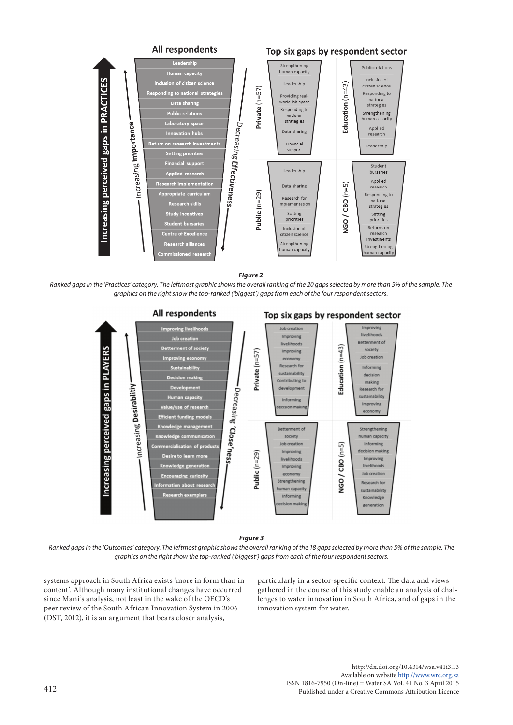

*Figure 2*

Figure 2 *Ranked gaps in the 'Practices' category. The leftmost graphic shows the overall ranking of the 20 gaps selected by more than 5% of the sample. The*  graphics on the right show the top-ranked ('biggest') gaps from each of the four respondent sectors.



*Figure 3*

graphics on the right show the top-ranked ('biggest') gaps from each of the four respondent sectors.<br>. *Ranked gaps in the 'Outcomes' category. The leftmost graphic shows the overall ranking of the 18 gaps selected by more than 5% of the sample. The* 

systems approach in South Africa exists 'more in form than in content'. Although many institutional changes have occurred since Mani's analysis, not least in the wake of the OECD's peer review of the South African Innovation System in 2006 (DST, 2012), it is an argument that bears closer analysis,

particularly in a sector-specific context. The data and views gathered in the course of this study enable an analysis of challenges to water innovation in South Africa, and of gaps in the innovation system for water.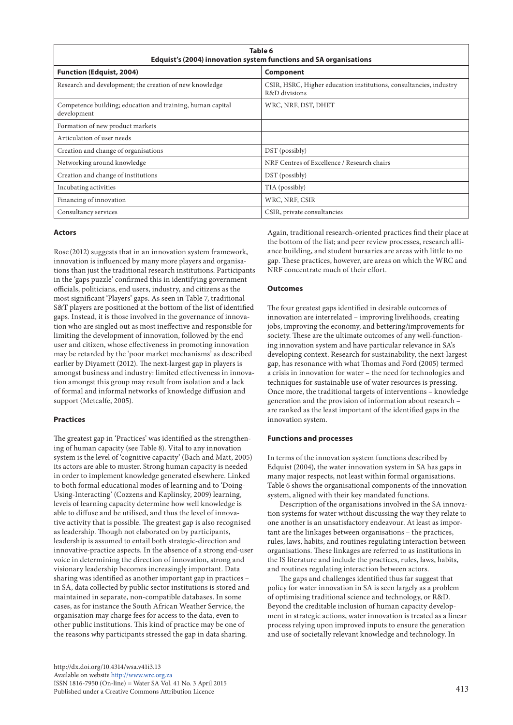| Table 6<br>Edquist's (2004) innovation system functions and SA organisations |                                                                                     |  |  |
|------------------------------------------------------------------------------|-------------------------------------------------------------------------------------|--|--|
| <b>Function (Edquist, 2004)</b>                                              | <b>Component</b>                                                                    |  |  |
| Research and development; the creation of new knowledge                      | CSIR, HSRC, Higher education institutions, consultancies, industry<br>R&D divisions |  |  |
| Competence building; education and training, human capital<br>development    | WRC, NRF, DST, DHET                                                                 |  |  |
| Formation of new product markets                                             |                                                                                     |  |  |
| Articulation of user needs                                                   |                                                                                     |  |  |
| Creation and change of organisations                                         | DST (possibly)                                                                      |  |  |
| Networking around knowledge                                                  | NRF Centres of Excellence / Research chairs                                         |  |  |
| Creation and change of institutions                                          | DST (possibly)                                                                      |  |  |
| Incubating activities                                                        | TIA (possibly)                                                                      |  |  |
| Financing of innovation                                                      | WRC, NRF, CSIR                                                                      |  |  |
| Consultancy services                                                         | CSIR, private consultancies                                                         |  |  |

#### **Actors**

Rose (2012) suggests that in an innovation system framework, innovation is influenced by many more players and organisations than just the traditional research institutions. Participants in the 'gaps puzzle' confirmed this in identifying government officials, politicians, end users, industry, and citizens as the most significant 'Players' gaps. As seen in Table 7, traditional S&T players are positioned at the bottom of the list of identified gaps. Instead, it is those involved in the governance of innovation who are singled out as most ineffective and responsible for limiting the development of innovation, followed by the end user and citizen, whose effectiveness in promoting innovation may be retarded by the 'poor market mechanisms' as described earlier by Diyamett (2012). The next-largest gap in players is amongst business and industry: limited effectiveness in innovation amongst this group may result from isolation and a lack of formal and informal networks of knowledge diffusion and support (Metcalfe, 2005).

#### **Practices**

The greatest gap in 'Practices' was identified as the strengthening of human capacity (see Table 8). Vital to any innovation system is the level of 'cognitive capacity' (Bach and Matt, 2005) its actors are able to muster. Strong human capacity is needed in order to implement knowledge generated elsewhere. Linked to both formal educational modes of learning and to 'Doing-Using-Interacting' (Cozzens and Kaplinsky, 2009) learning, levels of learning capacity determine how well knowledge is able to diffuse and be utilised, and thus the level of innovative activity that is possible. The greatest gap is also recognised as leadership. Though not elaborated on by participants, leadership is assumed to entail both strategic-direction and innovative-practice aspects. In the absence of a strong end-user voice in determining the direction of innovation, strong and visionary leadership becomes increasingly important. Data sharing was identified as another important gap in practices – in SA, data collected by public sector institutions is stored and maintained in separate, non-compatible databases. In some cases, as for instance the South African Weather Service, the organisation may charge fees for access to the data, even to other public institutions. This kind of practice may be one of the reasons why participants stressed the gap in data sharing.

Again, traditional research-oriented practices find their place at the bottom of the list; and peer review processes, research alliance building, and student bursaries are areas with little to no gap. These practices, however, are areas on which the WRC and NRF concentrate much of their effort.

# **Outcomes**

The four greatest gaps identified in desirable outcomes of innovation are interrelated – improving livelihoods, creating jobs, improving the economy, and bettering/improvements for society. These are the ultimate outcomes of any well-functioning innovation system and have particular relevance in SA's developing context. Research for sustainability, the next-largest gap, has resonance with what Thomas and Ford (2005) termed a crisis in innovation for water – the need for technologies and techniques for sustainable use of water resources is pressing. Once more, the traditional targets of interventions – knowledge generation and the provision of information about research – are ranked as the least important of the identified gaps in the innovation system.

# **Functions and processes**

In terms of the innovation system functions described by Edquist (2004), the water innovation system in SA has gaps in many major respects, not least within formal organisations. Table 6 shows the organisational components of the innovation system, aligned with their key mandated functions.

Description of the organisations involved in the SA innovation systems for water without discussing the way they relate to one another is an unsatisfactory endeavour. At least as important are the linkages between organisations – the practices, rules, laws, habits, and routines regulating interaction between organisations. These linkages are referred to as institutions in the IS literature and include the practices, rules, laws, habits, and routines regulating interaction between actors.

The gaps and challenges identified thus far suggest that policy for water innovation in SA is seen largely as a problem of optimising traditional science and technology, or R&D. Beyond the creditable inclusion of human capacity development in strategic actions, water innovation is treated as a linear process relying upon improved inputs to ensure the generation and use of societally relevant knowledge and technology. In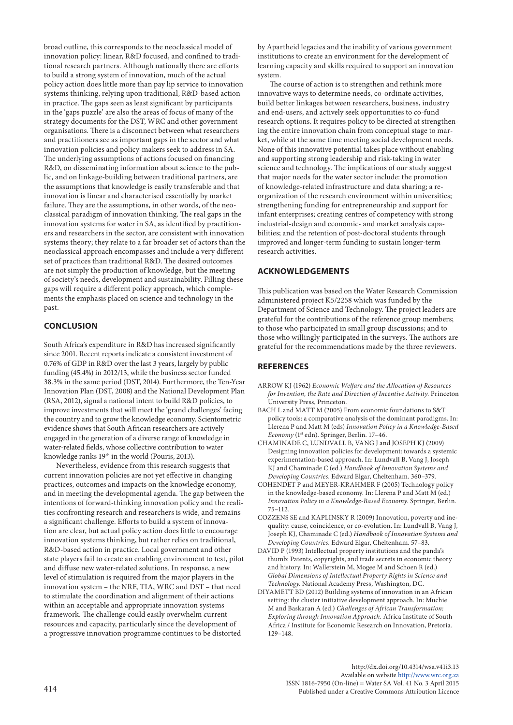broad outline, this corresponds to the neoclassical model of innovation policy: linear, R&D focused, and confined to traditional research partners. Although nationally there are efforts to build a strong system of innovation, much of the actual policy action does little more than pay lip service to innovation systems thinking, relying upon traditional, R&D-based action in practice. The gaps seen as least significant by participants in the 'gaps puzzle' are also the areas of focus of many of the strategy documents for the DST, WRC and other government organisations. There is a disconnect between what researchers and practitioners see as important gaps in the sector and what innovation policies and policy-makers seek to address in SA. The underlying assumptions of actions focused on financing R&D, on disseminating information about science to the public, and on linkage-building between traditional partners, are the assumptions that knowledge is easily transferable and that innovation is linear and characterised essentially by market failure. They are the assumptions, in other words, of the neoclassical paradigm of innovation thinking. The real gaps in the innovation systems for water in SA, as identified by practitioners and researchers in the sector, are consistent with innovation systems theory; they relate to a far broader set of actors than the neoclassical approach encompasses and include a very different set of practices than traditional R&D. The desired outcomes are not simply the production of knowledge, but the meeting of society's needs, development and sustainability. Filling these gaps will require a different policy approach, which complements the emphasis placed on science and technology in the past.

# **CONCLUSION**

South Africa's expenditure in R&D has increased significantly since 2001. Recent reports indicate a consistent investment of 0.76% of GDP in R&D over the last 3 years, largely by public funding (45.4%) in 2012/13, while the business sector funded 38.3% in the same period (DST, 2014). Furthermore, the Ten-Year Innovation Plan (DST, 2008) and the National Development Plan (RSA, 2012), signal a national intent to build R&D policies, to improve investments that will meet the 'grand challenges' facing the country and to grow the knowledge economy. Scientometric evidence shows that South African researchers are actively engaged in the generation of a diverse range of knowledge in water-related fields, whose collective contribution to water knowledge ranks 19<sup>th</sup> in the world (Pouris, 2013).

Nevertheless, evidence from this research suggests that current innovation policies are not yet effective in changing practices, outcomes and impacts on the knowledge economy, and in meeting the developmental agenda. The gap between the intentions of forward-thinking innovation policy and the realities confronting research and researchers is wide, and remains a significant challenge. Efforts to build a system of innovation are clear, but actual policy action does little to encourage innovation systems thinking, but rather relies on traditional, R&D-based action in practice. Local government and other state players fail to create an enabling environment to test, pilot and diffuse new water-related solutions. In response, a new level of stimulation is required from the major players in the innovation system – the NRF, TIA, WRC and DST – that need to stimulate the coordination and alignment of their actions within an acceptable and appropriate innovation systems framework. The challenge could easily overwhelm current resources and capacity, particularly since the development of a progressive innovation programme continues to be distorted

by Apartheid legacies and the inability of various government institutions to create an environment for the development of learning capacity and skills required to support an innovation system.

The course of action is to strengthen and rethink more innovative ways to determine needs, co-ordinate activities, build better linkages between researchers, business, industry and end-users, and actively seek opportunities to co-fund research options. It requires policy to be directed at strengthening the entire innovation chain from conceptual stage to market, while at the same time meeting social development needs. None of this innovative potential takes place without enabling and supporting strong leadership and risk-taking in water science and technology. The implications of our study suggest that major needs for the water sector include: the promotion of knowledge-related infrastructure and data sharing; a reorganization of the research environment within universities; strengthening funding for entrepreneurship and support for infant enterprises; creating centres of competency with strong industrial-design and economic- and market analysis capabilities; and the retention of post-doctoral students through improved and longer-term funding to sustain longer-term research activities.

# **ACKNOWLEDGEMENTS**

This publication was based on the Water Research Commission administered project K5/2258 which was funded by the Department of Science and Technology. The project leaders are grateful for the contributions of the reference group members; to those who participated in small group discussions; and to those who willingly participated in the surveys. The authors are grateful for the recommendations made by the three reviewers.

# **REFERENCES**

- ARROW KJ (1962) *Economic Welfare and the Allocation of Resources for Invention, the Rate and Direction of Incentive Activity.* Princeton University Press, Princeton.
- BACH L and MATT M (2005) From economic foundations to S&T policy tools: a comparative analysis of the dominant paradigms. In: Llerena P and Matt M (eds) *Innovation Policy in a Knowledge-Based Economy* (1<sup>st</sup> edn). Springer, Berlin. 17-46.
- CHAMINADE C, LUNDVALL B, VANG J and JOSEPH KJ (2009) Designing innovation policies for development: towards a systemic experimentation-based approach. In: Lundvall B, Vang J, Joseph KJ and Chaminade C (ed.) *Handbook of Innovation Systems and Developing Countries*. Edward Elgar, Cheltenham. 360–379.
- COHENDET P and MEYER-KRAHMER F (2005) Technology policy in the knowledge-based economy. In: Llerena P and Matt M (ed.) *Innovation Policy in a Knowledge-Based Economy.* Springer, Berlin. 75–112.
- COZZENS SE and KAPLINSKY R (2009) Innovation, poverty and inequality: cause, coincidence, or co-evolution. In: Lundvall B, Vang J, Joseph KJ, Chaminade C (ed.) *Handbook of Innovation Systems and Developing Countries.* Edward Elgar, Cheltenham. 57–83.
- DAVID P (1993) Intellectual property institutions and the panda's thumb: Patents, copyrights, and trade secrets in economic theory and history. In: Wallerstein M, Mogee M and Schoen R (ed.) *Global Dimensions of Intellectual Property Rights in Science and Technology*. National Academy Press, Washington, DC.
- DIYAMETT BD (2012) Building systems of innovation in an African setting: the cluster initiative development approach. In: Muchie M and Baskaran A (ed.) *Challenges of African Transformation: Exploring through Innovation Approach.* Africa Institute of South Africa / Institute for Economic Research on Innovation, Pretoria. 129–148.

http://dx.doi.org/10.4314/wsa.v41i3.13 Available on website <http://www.wrc.org.za> ISSN 1816-7950 (On-line) = Water SA Vol. 41 No. 3 April 2015 Published under a Creative Commons Attribution Licence